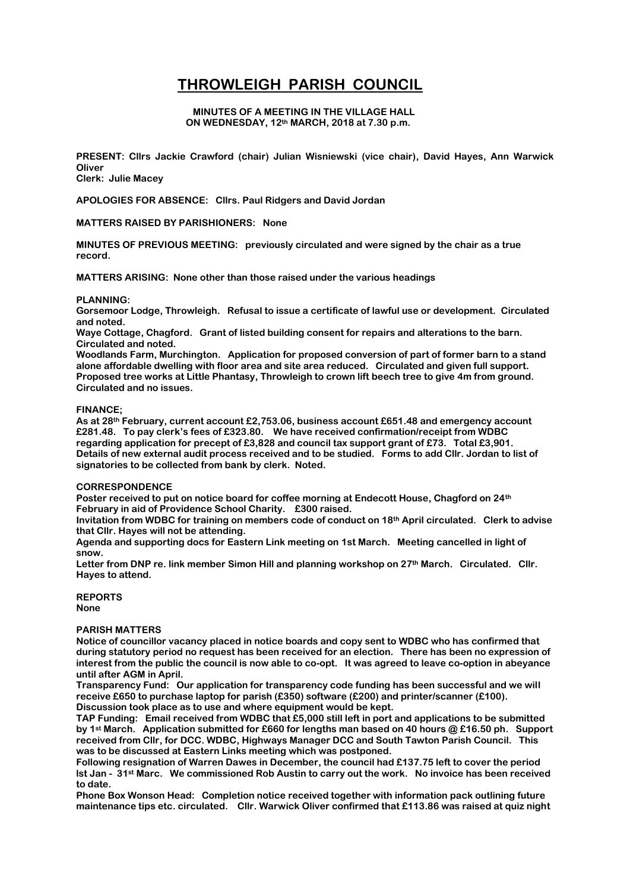# **THROWLEIGH PARISH COUNCIL**

#### **MINUTES OF A MEETING IN THE VILLAGE HALL ON WEDNESDAY, 12th MARCH, 2018 at 7.30 p.m.**

**PRESENT: Cllrs Jackie Crawford (chair) Julian Wisniewski (vice chair), David Hayes, Ann Warwick Oliver**

**Clerk: Julie Macey**

**APOLOGIES FOR ABSENCE: Cllrs. Paul Ridgers and David Jordan**

# **MATTERS RAISED BY PARISHIONERS: None**

**MINUTES OF PREVIOUS MEETING: previously circulated and were signed by the chair as a true record.** 

**MATTERS ARISING: None other than those raised under the various headings**

#### **PLANNING:**

**Gorsemoor Lodge, Throwleigh. Refusal to issue a certificate of lawful use or development. Circulated and noted.**

**Waye Cottage, Chagford. Grant of listed building consent for repairs and alterations to the barn. Circulated and noted.**

**Woodlands Farm, Murchington. Application for proposed conversion of part of former barn to a stand alone affordable dwelling with floor area and site area reduced. Circulated and given full support. Proposed tree works at Little Phantasy, Throwleigh to crown lift beech tree to give 4m from ground. Circulated and no issues.** 

#### **FINANCE;**

**As at 28th February, current account £2,753.06, business account £651.48 and emergency account £281.48. To pay clerk's fees of £323.80. We have received confirmation/receipt from WDBC regarding application for precept of £3,828 and council tax support grant of £73. Total £3,901. Details of new external audit process received and to be studied. Forms to add Cllr. Jordan to list of signatories to be collected from bank by clerk. Noted.**

# **CORRESPONDENCE**

**Poster received to put on notice board for coffee morning at Endecott House, Chagford on 24th February in aid of Providence School Charity. £300 raised.**

**Invitation from WDBC for training on members code of conduct on 18th April circulated. Clerk to advise that Cllr. Hayes will not be attending.**

**Agenda and supporting docs for Eastern Link meeting on 1st March. Meeting cancelled in light of snow.**

**Letter from DNP re. link member Simon Hill and planning workshop on 27th March. Circulated. Cllr. Hayes to attend.**

**REPORTS None**

# **PARISH MATTERS**

**Notice of councillor vacancy placed in notice boards and copy sent to WDBC who has confirmed that during statutory period no request has been received for an election. There has been no expression of interest from the public the council is now able to co-opt. It was agreed to leave co-option in abeyance until after AGM in April.**

**Transparency Fund: Our application for transparency code funding has been successful and we will receive £650 to purchase laptop for parish (£350) software (£200) and printer/scanner (£100). Discussion took place as to use and where equipment would be kept.**

**TAP Funding: Email received from WDBC that £5,000 still left in port and applications to be submitted by 1st March. Application submitted for £660 for lengths man based on 40 hours @ £16.50 ph. Support received from Cllr, for DCC. WDBC, Highways Manager DCC and South Tawton Parish Council. This was to be discussed at Eastern Links meeting which was postponed.**

**Following resignation of Warren Dawes in December, the council had £137.75 left to cover the period lst Jan - 31st Marc. We commissioned Rob Austin to carry out the work. No invoice has been received to date.**

**Phone Box Wonson Head: Completion notice received together with information pack outlining future maintenance tips etc. circulated. Cllr. Warwick Oliver confirmed that £113.86 was raised at quiz night**